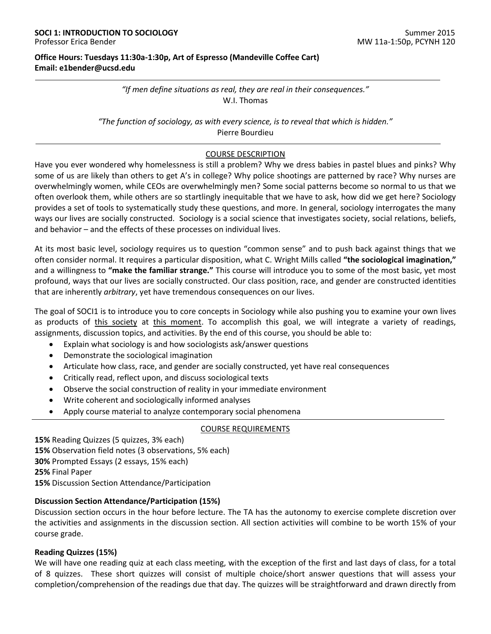## **Office Hours: Tuesdays 11:30a-1:30p, Art of Espresso (Mandeville Coffee Cart) Email: e1bender@ucsd.edu**

*"If men define situations as real, they are real in their consequences."* W.I. Thomas

*"The function of sociology, as with every science, is to reveal that which is hidden."* Pierre Bourdieu

# COURSE DESCRIPTION

Have you ever wondered why homelessness is still a problem? Why we dress babies in pastel blues and pinks? Why some of us are likely than others to get A's in college? Why police shootings are patterned by race? Why nurses are overwhelmingly women, while CEOs are overwhelmingly men? Some social patterns become so normal to us that we often overlook them, while others are so startlingly inequitable that we have to ask, how did we get here? Sociology provides a set of tools to systematically study these questions, and more. In general, sociology interrogates the many ways our lives are socially constructed. Sociology is a social science that investigates society, social relations, beliefs, and behavior – and the effects of these processes on individual lives.

At its most basic level, sociology requires us to question "common sense" and to push back against things that we often consider normal. It requires a particular disposition, what C. Wright Mills called **"the sociological imagination,"** and a willingness to **"make the familiar strange."** This course will introduce you to some of the most basic, yet most profound, ways that our lives are socially constructed. Our class position, race, and gender are constructed identities that are inherently *arbitrary*, yet have tremendous consequences on our lives.

The goal of SOCI1 is to introduce you to core concepts in Sociology while also pushing you to examine your own lives as products of this society at this moment. To accomplish this goal, we will integrate a variety of readings, assignments, discussion topics, and activities. By the end of this course, you should be able to:

- Explain what sociology is and how sociologists ask/answer questions
- Demonstrate the sociological imagination
- Articulate how class, race, and gender are socially constructed, yet have real consequences
- Critically read, reflect upon, and discuss sociological texts
- Observe the social construction of reality in your immediate environment
- Write coherent and sociologically informed analyses
- Apply course material to analyze contemporary social phenomena

#### COURSE REQUIREMENTS

**15%** Reading Quizzes (5 quizzes, 3% each) **15%** Observation field notes (3 observations, 5% each) **30%** Prompted Essays (2 essays, 15% each) **25%** Final Paper **15%** Discussion Section Attendance/Participation

## **Discussion Section Attendance/Participation (15%)**

Discussion section occurs in the hour before lecture. The TA has the autonomy to exercise complete discretion over the activities and assignments in the discussion section. All section activities will combine to be worth 15% of your course grade.

#### **Reading Quizzes (15%)**

We will have one reading quiz at each class meeting, with the exception of the first and last days of class, for a total of 8 quizzes. These short quizzes will consist of multiple choice/short answer questions that will assess your completion/comprehension of the readings due that day. The quizzes will be straightforward and drawn directly from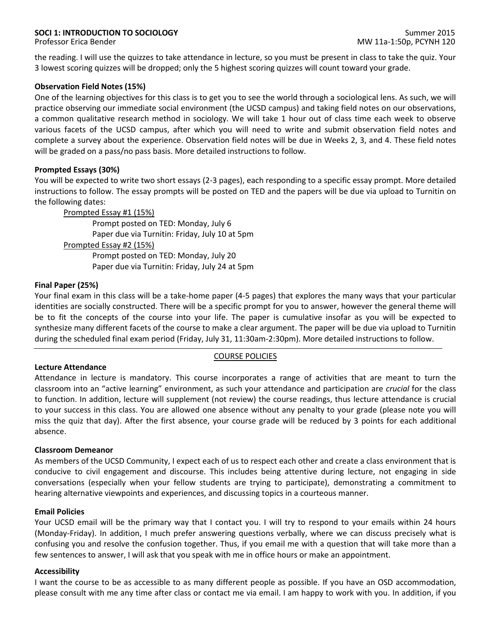the reading. I will use the quizzes to take attendance in lecture, so you must be present in class to take the quiz. Your 3 lowest scoring quizzes will be dropped; only the 5 highest scoring quizzes will count toward your grade.

## **Observation Field Notes (15%)**

One of the learning objectives for this class is to get you to see the world through a sociological lens. As such, we will practice observing our immediate social environment (the UCSD campus) and taking field notes on our observations, a common qualitative research method in sociology. We will take 1 hour out of class time each week to observe various facets of the UCSD campus, after which you will need to write and submit observation field notes and complete a survey about the experience. Observation field notes will be due in Weeks 2, 3, and 4. These field notes will be graded on a pass/no pass basis. More detailed instructions to follow.

### **Prompted Essays (30%)**

You will be expected to write two short essays (2-3 pages), each responding to a specific essay prompt. More detailed instructions to follow. The essay prompts will be posted on TED and the papers will be due via upload to Turnitin on the following dates:

Prompted Essay #1 (15%)

Prompt posted on TED: Monday, July 6 Paper due via Turnitin: Friday, July 10 at 5pm Prompted Essay #2 (15%) Prompt posted on TED: Monday, July 20 Paper due via Turnitin: Friday, July 24 at 5pm

### **Final Paper (25%)**

Your final exam in this class will be a take-home paper (4-5 pages) that explores the many ways that your particular identities are socially constructed. There will be a specific prompt for you to answer, however the general theme will be to fit the concepts of the course into your life. The paper is cumulative insofar as you will be expected to synthesize many different facets of the course to make a clear argument. The paper will be due via upload to Turnitin during the scheduled final exam period (Friday, July 31, 11:30am-2:30pm). More detailed instructions to follow. ֦

## COURSE POLICIES

#### **Lecture Attendance**

Attendance in lecture is mandatory. This course incorporates a range of activities that are meant to turn the classroom into an "active learning" environment, as such your attendance and participation are *crucial* for the class to function. In addition, lecture will supplement (not review) the course readings, thus lecture attendance is crucial to your success in this class. You are allowed one absence without any penalty to your grade (please note you will miss the quiz that day). After the first absence, your course grade will be reduced by 3 points for each additional absence.

#### **Classroom Demeanor**

As members of the UCSD Community, I expect each of us to respect each other and create a class environment that is conducive to civil engagement and discourse. This includes being attentive during lecture, not engaging in side conversations (especially when your fellow students are trying to participate), demonstrating a commitment to hearing alternative viewpoints and experiences, and discussing topics in a courteous manner.

#### **Email Policies**

Your UCSD email will be the primary way that I contact you. I will try to respond to your emails within 24 hours (Monday-Friday). In addition, I much prefer answering questions verbally, where we can discuss precisely what is confusing you and resolve the confusion together. Thus, if you email me with a question that will take more than a few sentences to answer, I will ask that you speak with me in office hours or make an appointment.

#### **Accessibility**

I want the course to be as accessible to as many different people as possible. If you have an OSD accommodation, please consult with me any time after class or contact me via email. I am happy to work with you. In addition, if you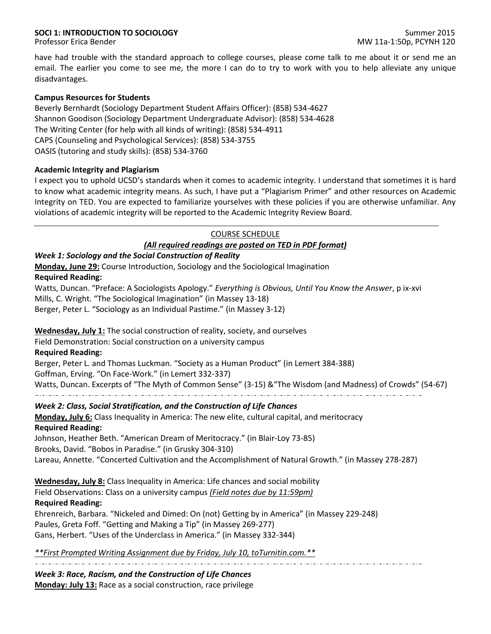have had trouble with the standard approach to college courses, please come talk to me about it or send me an email. The earlier you come to see me, the more I can do to try to work with you to help alleviate any unique disadvantages.

## **Campus Resources for Students**

Beverly Bernhardt (Sociology Department Student Affairs Officer): (858) 534-4627 Shannon Goodison (Sociology Department Undergraduate Advisor): (858) 534-4628 The Writing Center (for help with all kinds of writing): (858) 534-4911 CAPS (Counseling and Psychological Services): (858) 534-3755 OASIS (tutoring and study skills): (858) 534-3760

## **Academic Integrity and Plagiarism**

I expect you to uphold UCSD's standards when it comes to academic integrity. I understand that sometimes it is hard to know what academic integrity means. As such, I have put a "Plagiarism Primer" and other resources on Academic Integrity on TED. You are expected to familiarize yourselves with these policies if you are otherwise unfamiliar. Any violations of academic integrity will be reported to the Academic Integrity Review Board.

### COURSE SCHEDULE

# *(All required readings are posted on TED in PDF format)*

# *Week 1: Sociology and the Social Construction of Reality*

**Monday, June 29:** Course Introduction, Sociology and the Sociological Imagination **Required Reading:** Watts, Duncan. "Preface: A Sociologists Apology." *Everything is Obvious, Until You Know the Answer*, p ix-xvi Mills, C. Wright. "The Sociological Imagination" (in Massey 13-18) Berger, Peter L. "Sociology as an Individual Pastime." (in Massey 3-12) **Wednesday, July 1:** The social construction of reality, society, and ourselves Field Demonstration: Social construction on a university campus

## **Required Reading:**

Berger, Peter L. and Thomas Luckman. "Society as a Human Product" (in Lemert 384-388) Goffman, Erving. "On Face-Work." (in Lemert 332-337) Watts, Duncan. Excerpts of "The Myth of Common Sense" (3-15) &"The Wisdom (and Madness) of Crowds" (54-67) 

*Week 2: Class, Social Stratification, and the Construction of Life Chances* **Monday, July 6:** Class Inequality in America: The new elite, cultural capital, and meritocracy **Required Reading:**

Johnson, Heather Beth. "American Dream of Meritocracy." (in Blair-Loy 73-85) Brooks, David. "Bobos in Paradise." (in Grusky 304-310) Lareau, Annette. "Concerted Cultivation and the Accomplishment of Natural Growth." (in Massey 278-287)

**Wednesday, July 8:** Class Inequality in America: Life chances and social mobility Field Observations: Class on a university campus *(Field notes due by 11:59pm)* **Required Reading:**  Ehrenreich, Barbara. "Nickeled and Dimed: On (not) Getting by in America" (in Massey 229-248) Paules, Greta Foff. "Getting and Making a Tip" (in Massey 269-277) Gans, Herbert. "Uses of the Underclass in America." (in Massey 332-344)

*\*\*First Prompted Writing Assignment due by Friday, July 10, toTurnitin.com.\*\**

*Week 3: Race, Racism, and the Construction of Life Chances* **Monday: July 13:** Race as a social construction, race privilege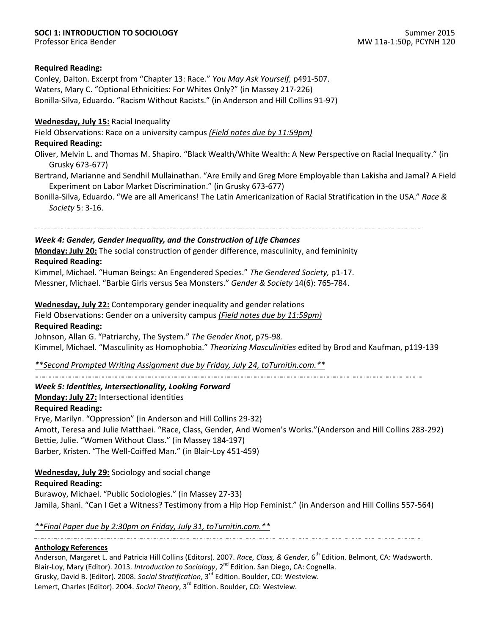# **Required Reading:**

Conley, Dalton. Excerpt from "Chapter 13: Race." *You May Ask Yourself,* p491-507. Waters, Mary C. "Optional Ethnicities: For Whites Only?" (in Massey 217-226) Bonilla-Silva, Eduardo. "Racism Without Racists." (in Anderson and Hill Collins 91-97)

# **Wednesday, July 15:** Racial Inequality

Field Observations: Race on a university campus *(Field notes due by 11:59pm)*

# **Required Reading:**

Oliver, Melvin L. and Thomas M. Shapiro. "Black Wealth/White Wealth: A New Perspective on Racial Inequality." (in Grusky 673-677)

Bertrand, Marianne and Sendhil Mullainathan. "Are Emily and Greg More Employable than Lakisha and Jamal? A Field Experiment on Labor Market Discrimination." (in Grusky 673-677)

Bonilla-Silva, Eduardo. "We are all Americans! The Latin Americanization of Racial Stratification in the USA." *Race & Society* 5: 3-16.

# *Week 4: Gender, Gender Inequality, and the Construction of Life Chances*

**Monday: July 20:** The social construction of gender difference, masculinity, and femininity **Required Reading:**

Kimmel, Michael. "Human Beings: An Engendered Species." *The Gendered Society,* p1-17. Messner, Michael. "Barbie Girls versus Sea Monsters." *Gender & Society* 14(6): 765-784.

# **Wednesday, July 22:** Contemporary gender inequality and gender relations

Field Observations: Gender on a university campus *(Field notes due by 11:59pm)* **Required Reading:**

Johnson, Allan G. "Patriarchy, The System." *The Gender Knot*, p75-98. Kimmel, Michael. "Masculinity as Homophobia." *Theorizing Masculinities* edited by Brod and Kaufman, p119-139

*\*\*Second Prompted Writing Assignment due by Friday, July 24, toTurnitin.com.\*\**

# *Week 5: Identities, Intersectionality, Looking Forward*

**Monday: July 27:** Intersectional identities

# **Required Reading:**

Frye, Marilyn. "Oppression" (in Anderson and Hill Collins 29-32) Amott, Teresa and Julie Matthaei. "Race, Class, Gender, And Women's Works."(Anderson and Hill Collins 283-292) Bettie, Julie. "Women Without Class." (in Massey 184-197) Barber, Kristen. "The Well-Coiffed Man." (in Blair-Loy 451-459)

**Wednesday, July 29:** Sociology and social change

# **Required Reading:**

Burawoy, Michael. "Public Sociologies." (in Massey 27-33) Jamila, Shani. "Can I Get a Witness? Testimony from a Hip Hop Feminist." (in Anderson and Hill Collins 557-564)

*\*\*Final Paper due by 2:30pm on Friday, July 31, toTurnitin.com.\*\**

#### . . . . . . . . . . . . . .

## **Anthology References**

Anderson, Margaret L. and Patricia Hill Collins (Editors). 2007. *Race, Class, & Gender*, 6<sup>th</sup> Edition. Belmont, CA: Wadsworth. Blair-Loy, Mary (Editor). 2013. *Introduction to Sociology*, 2<sup>nd</sup> Edition. San Diego, CA: Cognella. Grusky, David B. (Editor). 2008. *Social Stratification*, 3rd Edition. Boulder, CO: Westview. Lemert, Charles (Editor). 2004. *Social Theory*, 3<sup>rd</sup> Edition. Boulder, CO: Westview.